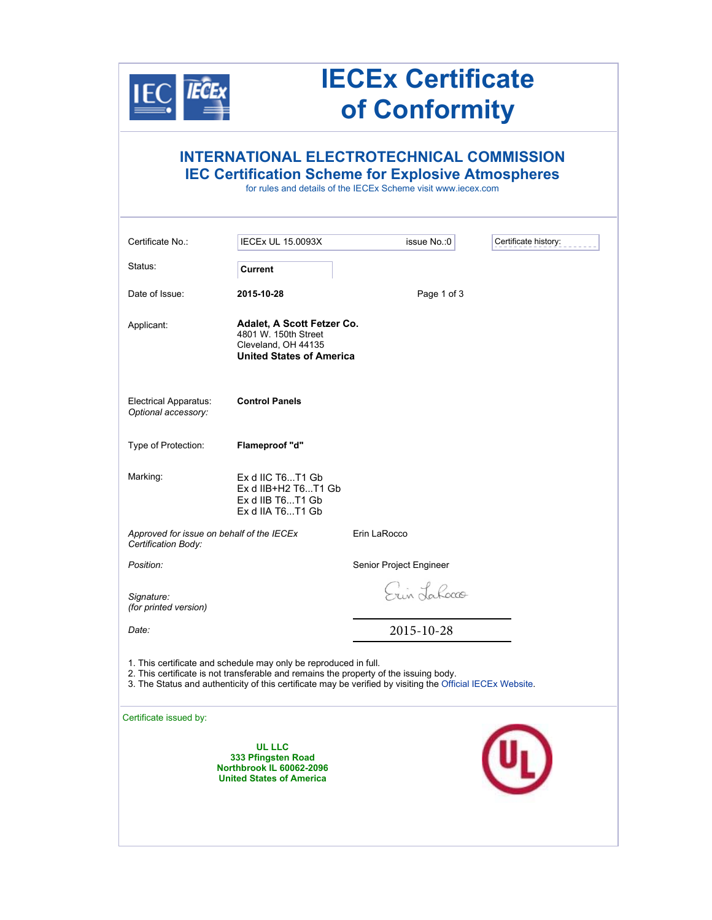

## **IECEx Certificate of Conformity**

## **INTERNATIONAL ELECTROTECHNICAL COMMISSION IEC Certification Scheme for Explosive Atmospheres**

for rules and details of the IECEx Scheme visit www.iecex.com

| Certificate No.:                                                                                                                                                                                                                                                        | <b>IECEx UL 15.0093X</b>                                                                                     | issue No.: 0            | Certificate history: |  |
|-------------------------------------------------------------------------------------------------------------------------------------------------------------------------------------------------------------------------------------------------------------------------|--------------------------------------------------------------------------------------------------------------|-------------------------|----------------------|--|
| Status:                                                                                                                                                                                                                                                                 | <b>Current</b>                                                                                               |                         |                      |  |
| Date of Issue:                                                                                                                                                                                                                                                          | 2015-10-28                                                                                                   | Page 1 of 3             |                      |  |
| Applicant:                                                                                                                                                                                                                                                              | Adalet, A Scott Fetzer Co.<br>4801 W. 150th Street<br>Cleveland, OH 44135<br><b>United States of America</b> |                         |                      |  |
| Electrical Apparatus:<br>Optional accessory:                                                                                                                                                                                                                            | <b>Control Panels</b>                                                                                        |                         |                      |  |
| Type of Protection:                                                                                                                                                                                                                                                     | Flameproof "d"                                                                                               |                         |                      |  |
| Marking:                                                                                                                                                                                                                                                                | Ex d IIC T6T1 Gb<br>Ex d IIB+H2 T6T1 Gb<br>Ex d IIB T6T1 Gb<br>Ex d IIA T6T1 Gb                              |                         |                      |  |
| Approved for issue on behalf of the IECEx<br>Certification Body:                                                                                                                                                                                                        |                                                                                                              | Erin LaRocco            |                      |  |
| Position:                                                                                                                                                                                                                                                               |                                                                                                              | Senior Project Engineer |                      |  |
| Signature:<br>(for printed version)                                                                                                                                                                                                                                     |                                                                                                              | Erin Lahocco            |                      |  |
| Date:                                                                                                                                                                                                                                                                   |                                                                                                              | 2015-10-28              |                      |  |
| 1. This certificate and schedule may only be reproduced in full.<br>2. This certificate is not transferable and remains the property of the issuing body.<br>3. The Status and authenticity of this certificate may be verified by visiting the Official IECEx Website. |                                                                                                              |                         |                      |  |
| Certificate issued by:                                                                                                                                                                                                                                                  |                                                                                                              |                         |                      |  |
|                                                                                                                                                                                                                                                                         | <b>UL LLC</b><br>333 Pfingsten Road<br>Northbrook IL 60062-2096<br><b>United States of America</b>           |                         |                      |  |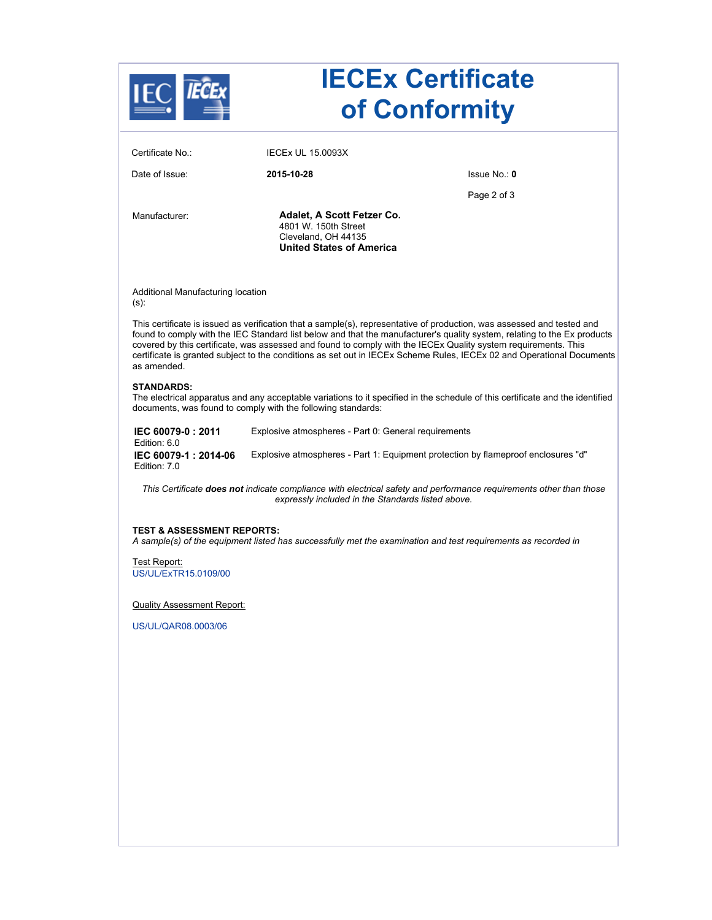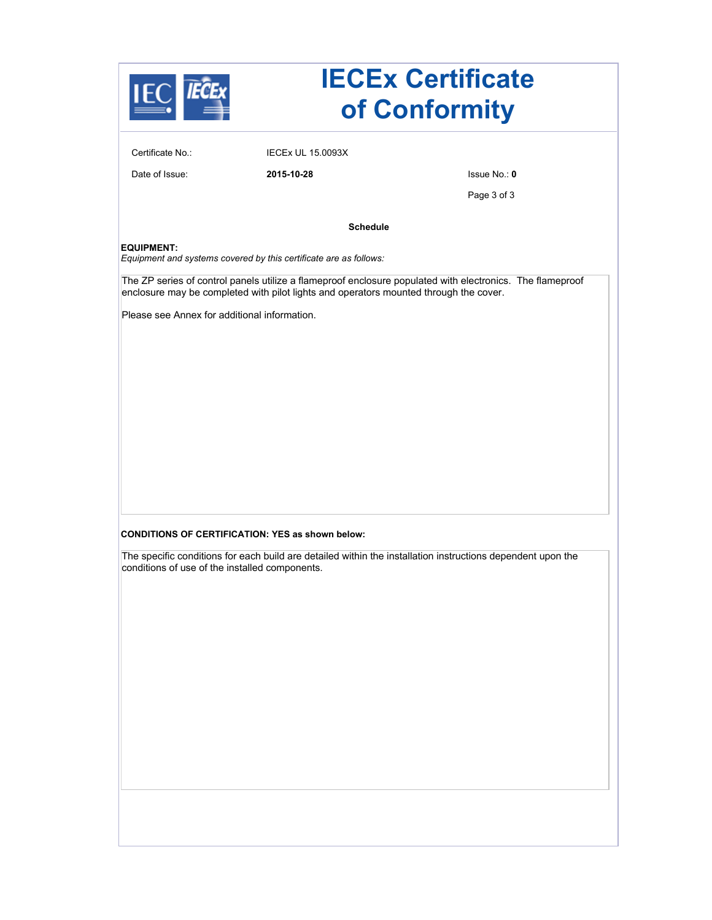| <b>IECEx Certificate</b><br>of Conformity                                                                                                                                                          |                                                         |               |  |  |
|----------------------------------------------------------------------------------------------------------------------------------------------------------------------------------------------------|---------------------------------------------------------|---------------|--|--|
| Certificate No.:                                                                                                                                                                                   | <b>IECEX UL 15.0093X</b>                                |               |  |  |
| Date of Issue:                                                                                                                                                                                     | 2015-10-28                                              | Is sue No.: 0 |  |  |
|                                                                                                                                                                                                    |                                                         | Page 3 of 3   |  |  |
| <b>Schedule</b>                                                                                                                                                                                    |                                                         |               |  |  |
| <b>EQUIPMENT:</b><br>Equipment and systems covered by this certificate are as follows:                                                                                                             |                                                         |               |  |  |
| The ZP series of control panels utilize a flameproof enclosure populated with electronics. The flameproof<br>enclosure may be completed with pilot lights and operators mounted through the cover. |                                                         |               |  |  |
| Please see Annex for additional information.                                                                                                                                                       |                                                         |               |  |  |
|                                                                                                                                                                                                    |                                                         |               |  |  |
|                                                                                                                                                                                                    |                                                         |               |  |  |
|                                                                                                                                                                                                    |                                                         |               |  |  |
|                                                                                                                                                                                                    |                                                         |               |  |  |
|                                                                                                                                                                                                    |                                                         |               |  |  |
|                                                                                                                                                                                                    |                                                         |               |  |  |
|                                                                                                                                                                                                    |                                                         |               |  |  |
|                                                                                                                                                                                                    |                                                         |               |  |  |
|                                                                                                                                                                                                    | <b>CONDITIONS OF CERTIFICATION: YES as shown below:</b> |               |  |  |
| The specific conditions for each build are detailed within the installation instructions dependent upon the<br>conditions of use of the installed components.                                      |                                                         |               |  |  |
|                                                                                                                                                                                                    |                                                         |               |  |  |
|                                                                                                                                                                                                    |                                                         |               |  |  |
|                                                                                                                                                                                                    |                                                         |               |  |  |
|                                                                                                                                                                                                    |                                                         |               |  |  |
|                                                                                                                                                                                                    |                                                         |               |  |  |
|                                                                                                                                                                                                    |                                                         |               |  |  |
|                                                                                                                                                                                                    |                                                         |               |  |  |
|                                                                                                                                                                                                    |                                                         |               |  |  |
|                                                                                                                                                                                                    |                                                         |               |  |  |
|                                                                                                                                                                                                    |                                                         |               |  |  |
|                                                                                                                                                                                                    |                                                         |               |  |  |